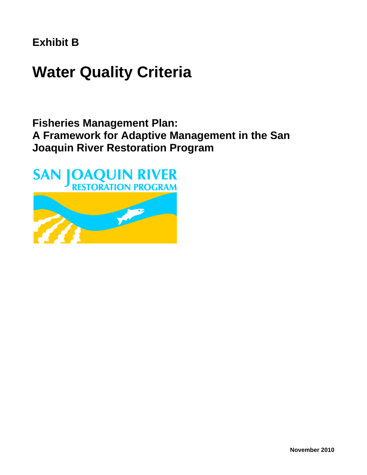**Exhibit B**

# **Water Quality Criteria**

## **Fisheries Management Plan: A Framework for Adaptive Management in the San Joaquin River Restoration Program**

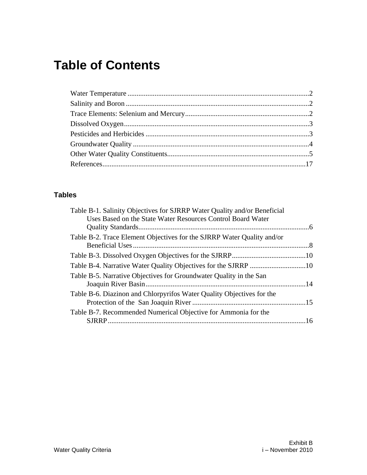## **Table of Contents**

#### **Tables**

| Table B-1. Salinity Objectives for SJRRP Water Quality and/or Beneficial<br>Uses Based on the State Water Resources Control Board Water |  |
|-----------------------------------------------------------------------------------------------------------------------------------------|--|
| Table B-2. Trace Element Objectives for the SJRRP Water Quality and/or                                                                  |  |
|                                                                                                                                         |  |
|                                                                                                                                         |  |
| Table B-5. Narrative Objectives for Groundwater Quality in the San                                                                      |  |
| Table B-6. Diazinon and Chlorpyrifos Water Quality Objectives for the                                                                   |  |
| Table B-7. Recommended Numerical Objective for Ammonia for the                                                                          |  |
|                                                                                                                                         |  |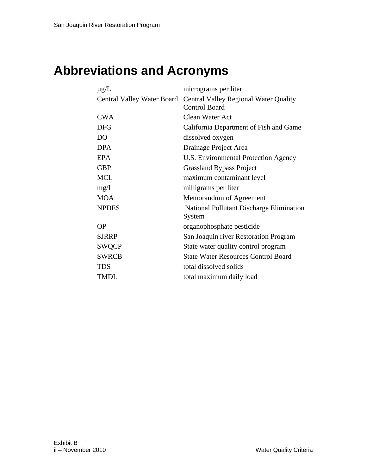## **Abbreviations and Acronyms**

| $\mu$ g/L    | micrograms per liter                                                                     |
|--------------|------------------------------------------------------------------------------------------|
|              | Central Valley Water Board Central Valley Regional Water Quality<br><b>Control Board</b> |
| <b>CWA</b>   | Clean Water Act                                                                          |
| <b>DFG</b>   | California Department of Fish and Game                                                   |
| DO           | dissolved oxygen                                                                         |
| <b>DPA</b>   | Drainage Project Area                                                                    |
| <b>EPA</b>   | U.S. Environmental Protection Agency                                                     |
| <b>GBP</b>   | <b>Grassland Bypass Project</b>                                                          |
| <b>MCL</b>   | maximum contaminant level                                                                |
| mg/L         | milligrams per liter                                                                     |
| <b>MOA</b>   | Memorandum of Agreement                                                                  |
| <b>NPDES</b> | National Pollutant Discharge Elimination<br>System                                       |
| ΟP           | organophosphate pesticide                                                                |
| <b>SJRRP</b> | San Joaquin river Restoration Program                                                    |
| <b>SWQCP</b> | State water quality control program                                                      |
| <b>SWRCB</b> | <b>State Water Resources Control Board</b>                                               |
| TDS          | total dissolved solids                                                                   |
| TMDL         | total maximum daily load                                                                 |
|              |                                                                                          |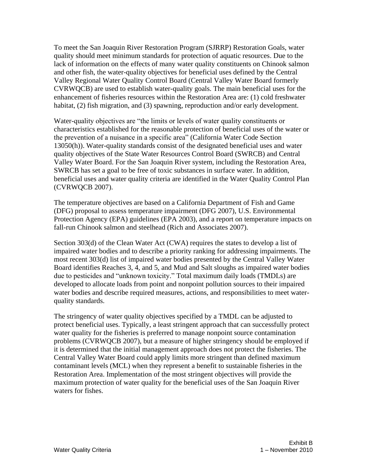To meet the San Joaquin River Restoration Program (SJRRP) Restoration Goals, water quality should meet minimum standards for protection of aquatic resources. Due to the lack of information on the effects of many water quality constituents on Chinook salmon and other fish, the water-quality objectives for beneficial uses defined by the Central Valley Regional Water Quality Control Board (Central Valley Water Board formerly CVRWQCB) are used to establish water-quality goals. The main beneficial uses for the enhancement of fisheries resources within the Restoration Area are: (1) cold freshwater habitat, (2) fish migration, and (3) spawning, reproduction and/or early development.

Water-quality objectives are "the limits or levels of water quality constituents or characteristics established for the reasonable protection of beneficial uses of the water or the prevention of a nuisance in a specific area" (California Water Code Section 13050(h)). Water-quality standards consist of the designated beneficial uses and water quality objectives of the State Water Resources Control Board (SWRCB) and Central Valley Water Board. For the San Joaquin River system, including the Restoration Area, SWRCB has set a goal to be free of toxic substances in surface water. In addition, beneficial uses and water quality criteria are identified in the Water Quality Control Plan (CVRWQCB 2007).

The temperature objectives are based on a California Department of Fish and Game (DFG) proposal to assess temperature impairment (DFG 2007), U.S. Environmental Protection Agency (EPA) guidelines (EPA 2003), and a report on temperature impacts on fall-run Chinook salmon and steelhead (Rich and Associates 2007).

Section 303(d) of the Clean Water Act (CWA) requires the states to develop a list of impaired water bodies and to describe a priority ranking for addressing impairments. The most recent 303(d) list of impaired water bodies presented by the Central Valley Water Board identifies Reaches 3, 4, and 5, and Mud and Salt sloughs as impaired water bodies due to pesticides and "unknown toxicity." Total maximum daily loads (TMDLs) are developed to allocate loads from point and nonpoint pollution sources to their impaired water bodies and describe required measures, actions, and responsibilities to meet waterquality standards.

The stringency of water quality objectives specified by a TMDL can be adjusted to protect beneficial uses. Typically, a least stringent approach that can successfully protect water quality for the fisheries is preferred to manage nonpoint source contamination problems (CVRWQCB 2007), but a measure of higher stringency should be employed if it is determined that the initial management approach does not protect the fisheries. The Central Valley Water Board could apply limits more stringent than defined maximum contaminant levels (MCL) when they represent a benefit to sustainable fisheries in the Restoration Area. Implementation of the most stringent objectives will provide the maximum protection of water quality for the beneficial uses of the San Joaquin River waters for fishes.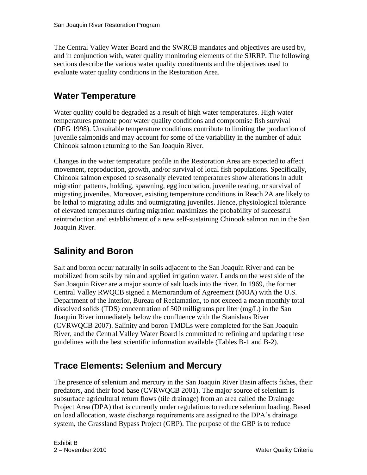The Central Valley Water Board and the SWRCB mandates and objectives are used by, and in conjunction with, water quality monitoring elements of the SJRRP. The following sections describe the various water quality constituents and the objectives used to evaluate water quality conditions in the Restoration Area.

### <span id="page-5-0"></span>**Water Temperature**

Water quality could be degraded as a result of high water temperatures. High water temperatures promote poor water quality conditions and compromise fish survival (DFG 1998). Unsuitable temperature conditions contribute to limiting the production of juvenile salmonids and may account for some of the variability in the number of adult Chinook salmon returning to the San Joaquin River.

Changes in the water temperature profile in the Restoration Area are expected to affect movement, reproduction, growth, and/or survival of local fish populations. Specifically, Chinook salmon exposed to seasonally elevated temperatures show alterations in adult migration patterns, holding, spawning, egg incubation, juvenile rearing, or survival of migrating juveniles. Moreover, existing temperature conditions in Reach 2A are likely to be lethal to migrating adults and outmigrating juveniles. Hence, physiological tolerance of elevated temperatures during migration maximizes the probability of successful reintroduction and establishment of a new self-sustaining Chinook salmon run in the San Joaquin River.

## <span id="page-5-1"></span>**Salinity and Boron**

Salt and boron occur naturally in soils adjacent to the San Joaquin River and can be mobilized from soils by rain and applied irrigation water. Lands on the west side of the San Joaquin River are a major source of salt loads into the river. In 1969, the former Central Valley RWQCB signed a Memorandum of Agreement (MOA) with the U.S. Department of the Interior, Bureau of Reclamation, to not exceed a mean monthly total dissolved solids (TDS) concentration of 500 milligrams per liter (mg/L) in the San Joaquin River immediately below the confluence with the Stanislaus River (CVRWQCB 2007). Salinity and boron TMDLs were completed for the San Joaquin River, and the Central Valley Water Board is committed to refining and updating these guidelines with the best scientific information available (Tables B-1 and B-2).

### <span id="page-5-2"></span>**Trace Elements: Selenium and Mercury**

The presence of selenium and mercury in the San Joaquin River Basin affects fishes, their predators, and their food base (CVRWQCB 2001). The major source of selenium is subsurface agricultural return flows (tile drainage) from an area called the Drainage Project Area (DPA) that is currently under regulations to reduce selenium loading. Based on load allocation, waste discharge requirements are assigned to the DPA's drainage system, the Grassland Bypass Project (GBP). The purpose of the GBP is to reduce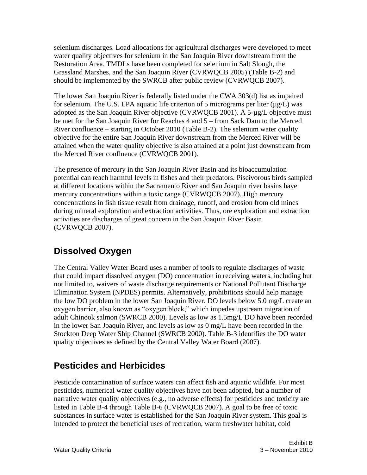selenium discharges. Load allocations for agricultural discharges were developed to meet water quality objectives for selenium in the San Joaquin River downstream from the Restoration Area. TMDLs have been completed for selenium in Salt Slough, the Grassland Marshes, and the San Joaquin River (CVRWQCB 2005) (Table B-2) and should be implemented by the SWRCB after public review (CVRWQCB 2007).

The lower San Joaquin River is federally listed under the CWA 303(d) list as impaired for selenium. The U.S. EPA aquatic life criterion of 5 micrograms per liter  $(\mu g/L)$  was adopted as the San Joaquin River objective (CVRWQCB 2001). A 5-µg/L objective must be met for the San Joaquin River for Reaches 4 and 5 – from Sack Dam to the Merced River confluence – starting in October 2010 (Table B-2). The selenium water quality objective for the entire San Joaquin River downstream from the Merced River will be attained when the water quality objective is also attained at a point just downstream from the Merced River confluence (CVRWQCB 2001).

The presence of mercury in the San Joaquin River Basin and its bioaccumulation potential can reach harmful levels in fishes and their predators. Piscivorous birds sampled at different locations within the Sacramento River and San Joaquin river basins have mercury concentrations within a toxic range (CVRWQCB 2007). High mercury concentrations in fish tissue result from drainage, runoff, and erosion from old mines during mineral exploration and extraction activities. Thus, ore exploration and extraction activities are discharges of great concern in the San Joaquin River Basin (CVRWQCB 2007).

### <span id="page-6-0"></span>**Dissolved Oxygen**

The Central Valley Water Board uses a number of tools to regulate discharges of waste that could impact dissolved oxygen (DO) concentration in receiving waters, including but not limited to, waivers of waste discharge requirements or National Pollutant Discharge Elimination System (NPDES) permits. Alternatively, prohibitions should help manage the low DO problem in the lower San Joaquin River. DO levels below 5.0 mg/L create an oxygen barrier, also known as "oxygen block," which impedes upstream migration of adult Chinook salmon (SWRCB 2000). Levels as low as 1.5mg/L DO have been recorded in the lower San Joaquin River, and levels as low as 0 mg/L have been recorded in the Stockton Deep Water Ship Channel (SWRCB 2000). Table B-3 identifies the DO water quality objectives as defined by the Central Valley Water Board (2007).

### <span id="page-6-1"></span>**Pesticides and Herbicides**

Pesticide contamination of surface waters can affect fish and aquatic wildlife. For most pesticides, numerical water quality objectives have not been adopted, but a number of narrative water quality objectives (e.g., no adverse effects) for pesticides and toxicity are listed in Table B-4 through Table B-6 (CVRWQCB 2007). A goal to be free of toxic substances in surface water is established for the San Joaquin River system. This goal is intended to protect the beneficial uses of recreation, warm freshwater habitat, cold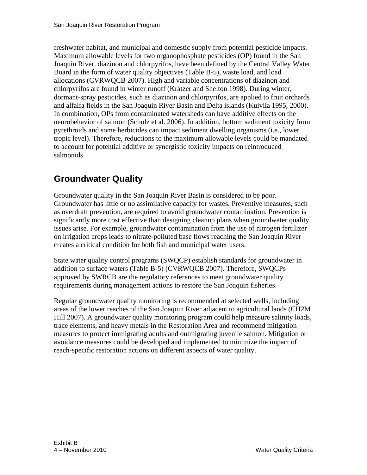freshwater habitat, and municipal and domestic supply from potential pesticide impacts. Maximum allowable levels for two organophosphate pesticides (OP) found in the San Joaquin River, diazinon and chlorpyrifos, have been defined by the Central Valley Water Board in the form of water quality objectives (Table B-5), waste load, and load allocations (CVRWQCB 2007). High and variable concentrations of diazinon and chlorpyrifos are found in winter runoff (Kratzer and Shelton 1998). During winter, dormant-spray pesticides, such as diazinon and chlorpyrifos, are applied to fruit orchards and alfalfa fields in the San Joaquin River Basin and Delta islands (Kuivila 1995, 2000). In combination, OPs from contaminated watersheds can have additive effects on the neurobehavior of salmon (Scholz et al. 2006). In addition, bottom sediment toxicity from pyrethroids and some herbicides can impact sediment dwelling organisms (i.e., lower tropic level). Therefore, reductions to the maximum allowable levels could be mandated to account for potential additive or synergistic toxicity impacts on reintroduced salmonids.

### <span id="page-7-0"></span>**Groundwater Quality**

Groundwater quality in the San Joaquin River Basin is considered to be poor. Groundwater has little or no assimilative capacity for wastes. Preventive measures, such as overdraft prevention, are required to avoid groundwater contamination. Prevention is significantly more cost effective than designing cleanup plans when groundwater quality issues arise. For example, groundwater contamination from the use of nitrogen fertilizer on irrigation crops leads to nitrate-polluted base flows reaching the San Joaquin River creates a critical condition for both fish and municipal water users.

State water quality control programs (SWQCP) establish standards for groundwater in addition to surface waters (Table B-5) (CVRWQCB 2007). Therefore, SWQCPs approved by SWRCB are the regulatory references to meet groundwater quality requirements during management actions to restore the San Joaquin fisheries.

Regular groundwater quality monitoring is recommended at selected wells, including areas of the lower reaches of the San Joaquin River adjacent to agricultural lands (CH2M Hill 2007). A groundwater quality monitoring program could help measure salinity loads, trace elements, and heavy metals in the Restoration Area and recommend mitigation measures to protect immigrating adults and outmigrating juvenile salmon. Mitigation or avoidance measures could be developed and implemented to minimize the impact of reach-specific restoration actions on different aspects of water quality.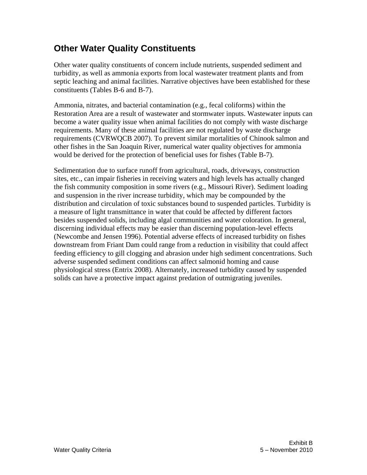#### <span id="page-8-0"></span>**Other Water Quality Constituents**

Other water quality constituents of concern include nutrients, suspended sediment and turbidity, as well as ammonia exports from local wastewater treatment plants and from septic leaching and animal facilities. Narrative objectives have been established for these constituents (Tables B-6 and B-7).

Ammonia, nitrates, and bacterial contamination (e.g., fecal coliforms) within the Restoration Area are a result of wastewater and stormwater inputs. Wastewater inputs can become a water quality issue when animal facilities do not comply with waste discharge requirements. Many of these animal facilities are not regulated by waste discharge requirements (CVRWQCB 2007). To prevent similar mortalities of Chinook salmon and other fishes in the San Joaquin River, numerical water quality objectives for ammonia would be derived for the protection of beneficial uses for fishes (Table B-7).

Sedimentation due to surface runoff from agricultural, roads, driveways, construction sites, etc., can impair fisheries in receiving waters and high levels has actually changed the fish community composition in some rivers (e.g., Missouri River). Sediment loading and suspension in the river increase turbidity, which may be compounded by the distribution and circulation of toxic substances bound to suspended particles. Turbidity is a measure of light transmittance in water that could be affected by different factors besides suspended solids, including algal communities and water coloration. In general, discerning individual effects may be easier than discerning population-level effects (Newcombe and Jensen 1996). Potential adverse effects of increased turbidity on fishes downstream from Friant Dam could range from a reduction in visibility that could affect feeding efficiency to gill clogging and abrasion under high sediment concentrations. Such adverse suspended sediment conditions can affect salmonid homing and cause physiological stress (Entrix 2008). Alternately, increased turbidity caused by suspended solids can have a protective impact against predation of outmigrating juveniles.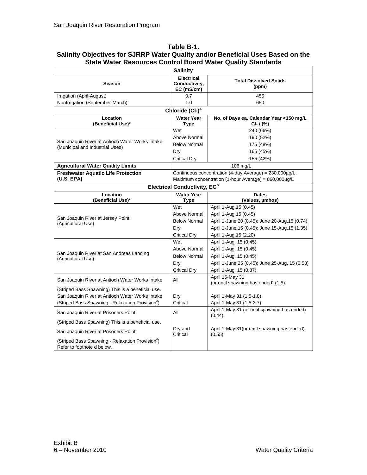#### <span id="page-9-0"></span>**Table B-1. Salinity Objectives for SJRRP Water Quality and/or Beneficial Uses Based on the State Water Resources Control Board Water Quality Standards**

|                                                                                            | <b>Salinity</b>                                  |                                                                                                                 |
|--------------------------------------------------------------------------------------------|--------------------------------------------------|-----------------------------------------------------------------------------------------------------------------|
| <b>Season</b>                                                                              | <b>Electrical</b><br>Conductivity,<br>EC (mS/cm) | <b>Total Dissolved Solids</b><br>(ppm)                                                                          |
| Irrigation (April-August)                                                                  | 0.7                                              | 455                                                                                                             |
| NonIrrigation (September-March)                                                            | 1.0                                              | 650                                                                                                             |
|                                                                                            | Chloride (CI-) <sup>a</sup>                      |                                                                                                                 |
| Location<br>(Beneficial Use)*                                                              | <b>Water Year</b><br>Type                        | No. of Days ea. Calendar Year <150 mg/L<br>$Cl - I$ (%)                                                         |
|                                                                                            | Wet                                              | 240 (66%)                                                                                                       |
|                                                                                            | Above Normal                                     | 190 (52%)                                                                                                       |
| San Joaquin River at Antioch Water Works Intake<br>(Municipal and Industrial Uses)         | <b>Below Normal</b>                              | 175 (48%)                                                                                                       |
|                                                                                            | Dry                                              | 165 (45%)                                                                                                       |
|                                                                                            | <b>Critical Dry</b>                              | 155 (42%)                                                                                                       |
| <b>Agricultural Water Quality Limits</b>                                                   |                                                  | 106 mg/L                                                                                                        |
| <b>Freshwater Aquatic Life Protection</b><br>(U.S. EPA)                                    |                                                  | Continuous concentration (4-day Average) = 230,000µg/L;<br>Maximum concentration (1-hour Average) = 860,000µg/L |
|                                                                                            | <b>Electrical Conductivity, EC</b> <sup>b</sup>  |                                                                                                                 |
| Location<br>(Beneficial Use)*                                                              | <b>Water Year</b><br>Type                        | <b>Dates</b><br>(Values, µmhos)                                                                                 |
|                                                                                            | Wet                                              | April 1-Aug.15 (0.45)                                                                                           |
|                                                                                            | Above Normal                                     | April 1-Aug. 15 (0.45)                                                                                          |
| San Joaquin River at Jersey Point<br>(Agricultural Use)                                    | <b>Below Normal</b>                              | April 1-June 20 (0.45); June 20-Aug.15 (0.74)                                                                   |
|                                                                                            | Dry                                              | April 1-June 15 (0.45); June 15-Aug.15 (1.35)                                                                   |
|                                                                                            | <b>Critical Dry</b>                              | April 1-Aug.15 (2.20)                                                                                           |
|                                                                                            | Wet                                              | April 1-Aug. 15 (0.45)                                                                                          |
|                                                                                            | Above Normal                                     | April 1-Aug. 15 (0.45)                                                                                          |
| San Joaquin River at San Andreas Landing<br>(Agricultural Use)                             | <b>Below Normal</b>                              | April 1-Aug. 15 (0.45)                                                                                          |
|                                                                                            | Dry                                              | April 1-June 25 (0.45); June 25-Aug. 15 (0.58)                                                                  |
|                                                                                            | <b>Critical Dry</b>                              | April 1-Aug. 15 (0.87)                                                                                          |
| San Joaquin River at Antioch Water Works Intake                                            | All                                              | April 15-May 31<br>(or until spawning has ended) (1.5)                                                          |
| (Striped Bass Spawning) This is a beneficial use.                                          |                                                  |                                                                                                                 |
| San Joaquin River at Antioch Water Works Intake                                            | Dry                                              | April 1-May 31 (1.5-1.8)                                                                                        |
| (Striped Bass Spawning - Relaxation Provision <sup>d</sup> )                               | Critical                                         | April 1-May 31 (1.5-3.7)                                                                                        |
| San Joaquin River at Prisoners Point                                                       | All                                              | April 1-May 31 (or until spawning has ended)<br>(0.44)                                                          |
| (Striped Bass Spawning) This is a beneficial use.                                          |                                                  |                                                                                                                 |
| San Joaquin River at Prisoners Point                                                       | Dry and<br>Critical                              | April 1-May 31 (or until spawning has ended)<br>(0.55)                                                          |
| (Striped Bass Spawning - Relaxation Provision <sup>o</sup> )<br>Refer to footnote d below. |                                                  |                                                                                                                 |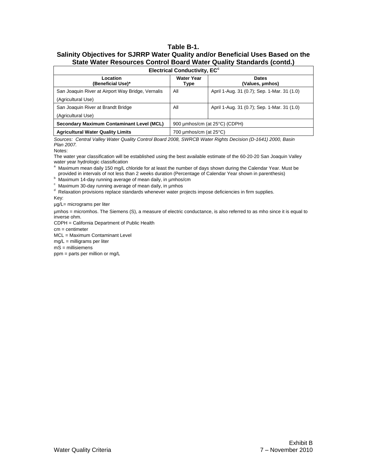#### **Table B-1. Salinity Objectives for SJRRP Water Quality and/or Beneficial Uses Based on the State Water Resources Control Board Water Quality Standards (contd.)**

|                                                   | <b>Electrical Conductivity, EC<sup>c</sup></b> |                                             |
|---------------------------------------------------|------------------------------------------------|---------------------------------------------|
| Location<br>(Beneficial Use)*                     | <b>Water Year</b><br>Type                      | <b>Dates</b><br>(Values, umhos)             |
| San Joaquin River at Airport Way Bridge, Vernalis | All                                            | April 1-Aug. 31 (0.7); Sep. 1-Mar. 31 (1.0) |
| (Agricultural Use)                                |                                                |                                             |
| San Joaquin River at Brandt Bridge                | All                                            | April 1-Aug. 31 (0.7); Sep. 1-Mar. 31 (1.0) |
| (Agricultural Use)                                |                                                |                                             |
| <b>Secondary Maximum Contaminant Level (MCL)</b>  |                                                | 900 umhos/cm (at 25°C) (CDPH)               |
| <b>Agricultural Water Quality Limits</b>          | 700 $\mu$ mhos/cm (at 25 $\textdegree$ C)      |                                             |

*Sources: Central Valley Water Quality Control Board 2008, SWRCB Water Rights Decision (D-1641) 2000, Basin Plan 2007.*

Notes:

The water year classification will be established using the best available estimate of the 60-20-20 San Joaquin Valley water year hydrologic classification

<sup>a</sup> Maximum mean daily 150 mg/L chloride for at least the number of days shown during the Calendar Year. Must be provided in intervals of not less than 2 weeks duration (Percentage of Calendar Year shown in parenthesis)

<sup>b</sup> Maximum 14-day running average of mean daily, in µmhos/cm

 $\degree$  Maximum 30-day running average of mean daily, in  $\mu$ mhos

d Relaxation provisions replace standards whenever water projects impose deficiencies in firm supplies.

Key:

µg/L= micrograms per liter

µmhos = micromhos. The Siemens (S), a measure of electric conductance, is also referred to as mho since it is equal to inverse ohm.

CDPH = California Department of Public Health

cm = centimeter

MCL = Maximum Contaminant Level

mg/L = milligrams per liter

mS = millisiemens

ppm = parts per million or mg/L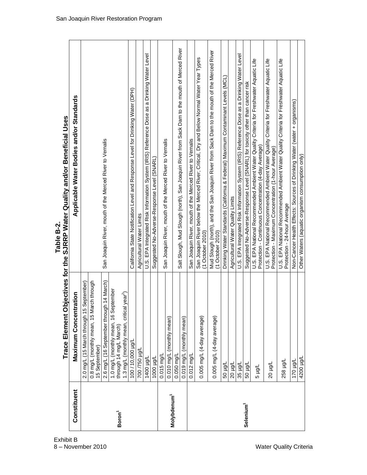|                         | Trace Element O                                                | bjectives for the SJRRP Water Quality and/or Beneficial Uses                                                                                      |
|-------------------------|----------------------------------------------------------------|---------------------------------------------------------------------------------------------------------------------------------------------------|
| Constituent             | <b>Maximum Concentration</b>                                   | Applicable Water Bodies and/or Standards                                                                                                          |
|                         | 2.0 mg/L (15 March through 15 September)                       |                                                                                                                                                   |
|                         | 0.8 mg/L (monthly mean, 15 March through<br>15 September)      |                                                                                                                                                   |
|                         | 2.6 mg/L (16 September through 14 March)                       | San Joaquin River, mouth of the Merced River to Vernalis                                                                                          |
| Boron <sup>1</sup>      | 1.0 mg/L (monthly mean, 16 September<br>through 14 mg/L March) |                                                                                                                                                   |
|                         | $1$ year <sup>2</sup> )<br>1.3 mg/L (monthly mean, critical    |                                                                                                                                                   |
|                         | 100 / 10,000 µg/L                                              | California State Notification Level and Response Level for Drinking Water (DPH)                                                                   |
|                         | 1/61 05/ 00/                                                   | Agricultural Water Limits                                                                                                                         |
|                         | 1400 µg/L                                                      | U.S. EPA Integrated Risk Information System (IRIS) Reference Dose as a Drinking Water Level                                                       |
|                         | 1000 µg/L                                                      | Suggested No-Adverse-Response Level (SNARL)                                                                                                       |
|                         | 0.015 mg/L                                                     |                                                                                                                                                   |
| Molybdenum <sup>1</sup> | 0.010 mg/L (monthly mean)                                      | San Joaquin River, mouth of the Merced River to Vernalis                                                                                          |
|                         | $0.050$ mg/L                                                   |                                                                                                                                                   |
|                         | 0.019 mg/L (monthly mean)                                      | Salt Slough, Mud Slough (north), San Joaquin River from Sack Dam to the mouth of Merced River                                                     |
|                         | 0.012 mg/L                                                     | San Joaquin River, mouth of the Merced River to Vernalis                                                                                          |
|                         | 0.005 mg/L (4-day average)                                     | San Joaquin River below the Merced River; Critical, Dry and Below Normal Water Year Types<br>(1 October 2010)                                     |
|                         | 0.005 mg/L (4-day average)                                     | Mud Slough (north), and the San Joaquin River from Sack Dam to the mouth of the Merced River<br>$(1$ October 2010)                                |
|                         | 1/6rl 09                                                       | Drinking Water Standards (California & Federal) Maximum Contaminant Levels (MCL)                                                                  |
|                         | 1/01 02                                                        | Agricultural Water Quality Limits                                                                                                                 |
|                         | 1/prl<br>35                                                    | U.S. EPA Integrated Risk Information System (IRIS) Reference Dose as a Drinking Water Level                                                       |
| Selenium <sup>1</sup>   | 1/pH 09                                                        | Suggested No-Adverse-Response Level (SNARL) for toxicity other than cancer risk                                                                   |
|                         | Tron <sub>5</sub>                                              | U.S. EPA National Recommended Ambient Water Quality Criteria for Freshwater Aquatic Life<br>Protection - Continuous Concentration (4-day Average) |
|                         | 1/6rl 02                                                       | U.S. EPA National Recommended Ambient Water Quality Criteria for Freshwater Aquatic Life<br>Protection - Maximum Concentration (1-hour Average)   |
|                         | 194 852                                                        | U.S. EPA National Recommended Ambient Water Quality Criteria for Freshwater Aquatic Life<br>Protection - 24-hour Average                          |
|                         | 170 µg/L                                                       | Non-Cancer Health Effects: Sources of Drinking Water (water + organisms)                                                                          |
|                         | 1/prl 0024                                                     | Other Waters (aquatic organism consumption only)                                                                                                  |

<span id="page-11-0"></span>**Table B-2.**

Exhibit B 8 - November 2010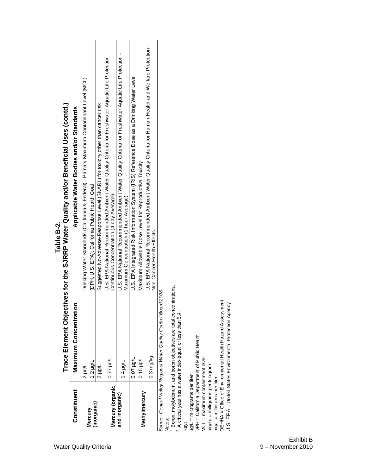|                        |                                                                  | ר המונח המלון המונח המונח המונח המונח המונח המונח המונח המונח המונח המונח המונח המונח המונח המונח המונח המונח ה<br>המונח המונח המונח המונח המונח המונח המונח המונח המונח המונח המונח המונח המונח המונח המונח המונח המונח המונח |
|------------------------|------------------------------------------------------------------|--------------------------------------------------------------------------------------------------------------------------------------------------------------------------------------------------------------------------------|
| Constituent            | Maximum Concentration                                            | Applicable Water Bodies and/or Standards                                                                                                                                                                                       |
|                        | 1 µg/L                                                           | Drinking Water Standards (California & Federal) - Primary Maximum Contaminant Level (MGL)                                                                                                                                      |
| (inorganic)<br>Mercury | $1.2$ µg/L                                                       | (DPH, U.S. EPA); California Public Health Goal                                                                                                                                                                                 |
|                        | Trah<br>z                                                        | Suggested No-Adverse-Response Level (SNARL) for toxicity other than cancer risk                                                                                                                                                |
| Mercury (organic       | 1/61 /270                                                        | U.S. EPA National Recommended Ambient Water Quality Criteria for Freshwater Aquatic Life Protection -<br>Continuous Concentration (4-day Average)                                                                              |
| and inorganic)         | 1.4 µg/L                                                         | U.S. EPA National Recommended Ambient Water Quality Criteria for Freshwater Aquatic Life Protection -<br>Maximum Concentration (1-hour Average)                                                                                |
|                        | $1/6n$ 20'0                                                      | U.S. EPA Integrated Risk Information System (IRIS) Reference Dose as a Drinking Water Level                                                                                                                                    |
| Methylmercury          | $0.15$ µg/L                                                      | Maximum Allowable Dose Level for Reproductive Toxicity                                                                                                                                                                         |
|                        | 0.3 mg/kg                                                        | U.S. EPA National Recommended Ambient Water Quality Criteria for Human Health and Welfare Protection -<br>Non-Cancer Health Effects                                                                                            |
|                        | Squrce: Central Valley Regional Water Quality Control Board 2008 |                                                                                                                                                                                                                                |

Trace Element Obiectives for the SJRRP Water Quality and/or Beneficial Uses (contd.) **Trace Element Objectives for the SJRRP Water Quality and/or Beneficial Uses (contd.)**

*Source: Central Valley Regional Water Quality Control Board 2008.* ourre: Gentral Valley Regional Water Quality<br>Notes:

 $\sim$   $\sim$ Boron, molybdenum, and boron objectives are total concentrations.

A critical year has a water index equal or less than 5.4.

µg/L = micrograms per liter

Key:<br>µg/L = micrograms per liter<br>DPH = California Department of Public Health DPH = California Department of Public Health

MCL = maximum containment level MCL = maximum containment level

mg/kg = milligrams per kilogram mg/kg = milligrams per kilogram

mg/L = milligrams per liter

mg/L = milligrams per liter<br>OEHHA = Office of Environmental Health Hazard Assessment<br>U.S. EPA = United States Environmental Protection Agency OEHHA = Office of Environmental Health Hazard Assessment

U.S. EPA = United States Environmental Protection Agency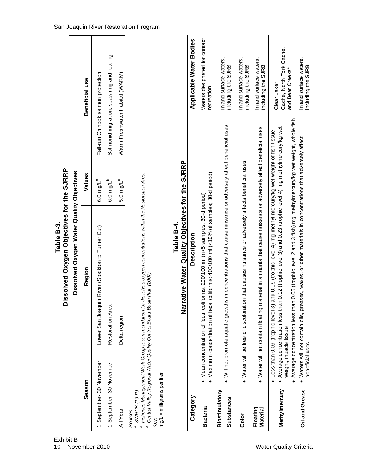<span id="page-13-0"></span>

|                                                                   | Dissolved Oxygen Objectives for the SJRRP<br>Table B-3.                                                                                                                                                            |                         |                                    |                                              |  |
|-------------------------------------------------------------------|--------------------------------------------------------------------------------------------------------------------------------------------------------------------------------------------------------------------|-------------------------|------------------------------------|----------------------------------------------|--|
|                                                                   | Dissolved Oxygen Water Quality Objectives                                                                                                                                                                          |                         |                                    |                                              |  |
| Season                                                            | Region                                                                                                                                                                                                             | Values                  |                                    | Beneficial use                               |  |
| 1 September-30 November                                           | River (Stockton to Turner Cut)<br>Lower San Joaquin                                                                                                                                                                | $6.0$ mg/L <sup>a</sup> | Fall-run Chinook salmon protection |                                              |  |
| 1 September-30 November                                           | Restoration Area                                                                                                                                                                                                   | 6.0 mg/L <sup>b</sup>   |                                    | Salmonid migration, spawning and rearing     |  |
| <b>All Year</b>                                                   | Delta region                                                                                                                                                                                                       | $5.0$ mg/L <sup>c</sup> | Warm Freshwater Habitat (WARM)     |                                              |  |
| $mg/L =$ milligrams per liter<br>SWRCB (1991)<br>Sources:<br>Key: | <sup>b</sup> Fisheries Management Work Group recommendation for dissolved oxygen concentrations within the Restoration Area.<br><sup>c</sup> Central Valley Regional Water Quality Control Board Basin Plan (2007) |                         |                                    |                                              |  |
|                                                                   | Narrative Water Quality Objectives for the SJRRP<br>Table B-4.                                                                                                                                                     |                         |                                    |                                              |  |
| Category                                                          | Description                                                                                                                                                                                                        |                         |                                    | Applicable Water Bodies                      |  |
| <b>Bacteria</b>                                                   | coliforms: 400/100 ml (<10% of samples; 30-d period)<br>• Mean concentration of fecal coliforms: 200/100 ml (n>5 samples; 30-d period)<br>• Maximum concentration of fecal                                         |                         |                                    | Waters designated for contact<br>ecreation   |  |
| Biostimulatory<br><b>Substances</b>                               | in concentrations that cause nuisance or adversely affect beneficial uses<br>• Will not promote aquatic growths                                                                                                    |                         |                                    | Inland surface waters,<br>including the SJRB |  |

| Category                            | <b>Description</b>                                                                                                                                                                                                                                                                                                                                                              | Applicable Water Bodies                                     |
|-------------------------------------|---------------------------------------------------------------------------------------------------------------------------------------------------------------------------------------------------------------------------------------------------------------------------------------------------------------------------------------------------------------------------------|-------------------------------------------------------------|
| <b>Bacteria</b>                     | • Maximum concentration of fecal coliforms: 400/100 ml (<10% of samples; 30-d period)<br>• Mean concentration of fecal coliforms: 200/100 ml (n>5 samples; 30-d period)                                                                                                                                                                                                         | Waters designated for contact<br>recreation                 |
| Biostimulatory<br><b>Substances</b> | • Will not promote aquatic growths in concentrations that cause nuisance or adversely affect beneficial uses                                                                                                                                                                                                                                                                    | Inland surface waters,<br>including the SJRB                |
| Color                               | • Water will be free of discoloration that causes nuisance or adversely affects beneficial uses                                                                                                                                                                                                                                                                                 | Inland surface waters,<br>including the SJRB                |
| Floating<br>Material                | material in amounts that cause nuisance or adversely affect beneficial uses<br>• Water will not contain floating                                                                                                                                                                                                                                                                | Inland surface waters,<br>including the SJRB                |
| Methylmercury                       | ● Average concentration less than 0.05 (trophic level 2 and 3 fish) mg methylmercury/kg wet weight, whole fish<br>Average concentration less than 0.12 (trophic level 3) and 0.23 (trophic level 4) mg methylmercury/kg wet<br>and 0.19 (trophic level 4) mg methyl mercury/kg wet weight of fish tissue<br>$\bullet$ Less than 0.09 (trophic level 3)<br>weight, muscle tissue | Cache, North Fork Cache,<br>and Bear Creeks*<br>Clear Lake* |
| <b>Oil and Grease</b>               | • Waters will not contain oils, greases, waxes, or other materials in concentrations that adversely affect<br>beneficial uses                                                                                                                                                                                                                                                   | Inland surface waters,<br>including the SJRB                |

#### San Joaquin River Restoration Program

<span id="page-13-1"></span>Exhibit B 10 - November 2010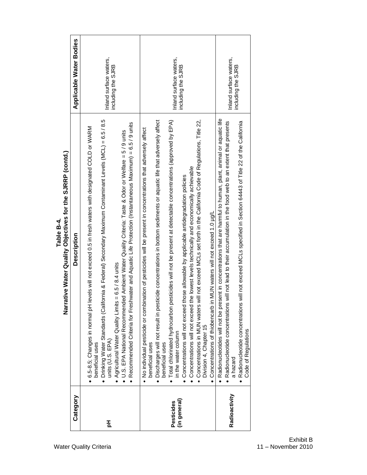| Category                   | <b>Description</b>                                                                                                                                                                                                                                                                                                                                                                                                                                                                                                                                                                                                                                                                                                                                                                                                                    | <b>Applicable Water Bodies</b>               |
|----------------------------|---------------------------------------------------------------------------------------------------------------------------------------------------------------------------------------------------------------------------------------------------------------------------------------------------------------------------------------------------------------------------------------------------------------------------------------------------------------------------------------------------------------------------------------------------------------------------------------------------------------------------------------------------------------------------------------------------------------------------------------------------------------------------------------------------------------------------------------|----------------------------------------------|
| 푐                          | • Drinking Water Standards (California & Federal) Secondary Maximum Contaminant Levels (MCL) = 6.5/8.5<br>Recommended Criteria for Freshwater and Aquatic Life Protection (Instantaneous Maximum) = 6.5/9 units<br>levels will not exceed 0.5 in fresh waters with designated COLD or WARM<br>• U.S. EPA National Recommended Ambient Water Quality Criteria: Taste & Odor or Welfare = 5 / 9 units<br>• Agricultural Water Quality Limits = $6.5/8.4$ units<br>● 6.5-8.5; Changes in normal pH<br>units (U.S. EPA)<br>beneficial uses                                                                                                                                                                                                                                                                                                | Inland surface waters,<br>including the SJRB |
| (in general)<br>Pesticides | will not exceed MCLs set forth in the California Code of Regulations, Title 22,<br>· Discharges will not result in pesticide concentrations in bottom sediments or aquatic life that adversely affect<br>Total chlorinated hydrocarbon pesticides will not be present at detectable concentrations (approved by EPA)<br>· No indual pesticide or combination of pesticides will be present in concentrations that adversely affect<br>the lowest levels technically and economically achievable<br>those allowable by applicable antidegradation policies<br>in MUN waters will not exceed 1.0 ug/L<br>• Concentrations will not exceed<br>Concentrations will not exceed<br>• Concentrations in MUN waters<br>• Concentrations of thiobencarb<br>Division 4, Chapter 15<br>in the water column<br>beneficial uses<br>beneficial uses | Inland surface waters,<br>including the SJRB |
| Radioactivity              | • Radionucleotides will not be present in concentrations that are harmful to human, plant, animal or aquatic life<br>• Radionucleotide concentrations will not lead to their accumulation in the food web to an extent that presents<br>Radionucleotide concentrations will not exceed MCLs specified in Section 64443 of Title 22 of the California<br>Code of Regulations<br>a hazard                                                                                                                                                                                                                                                                                                                                                                                                                                               | Inland surface waters,<br>including the SJRB |
|                            |                                                                                                                                                                                                                                                                                                                                                                                                                                                                                                                                                                                                                                                                                                                                                                                                                                       |                                              |

Table B-4.<br>Narrative Water Quality Objectives for the SJRRP (contd.) **Narrative Water Quality Objectives for the SJRRP (contd.)**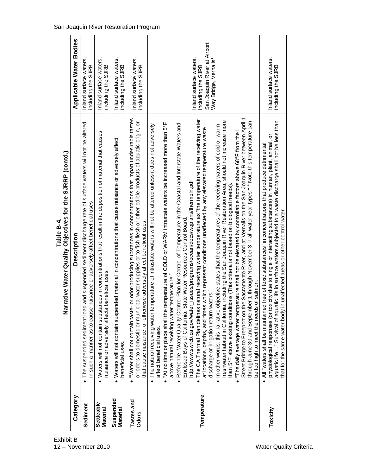|                            | $\bar{z}$                                                                                                                                                                                                                                                                                                                                                                                                                                                                                                                                                                                                                                                                                                                                                                                                                                                                                                                                                                                                                                                                                                                                                                                                                                                                                                                                                                                                                                                                                                                                                                                        |                                                                                                       |
|----------------------------|--------------------------------------------------------------------------------------------------------------------------------------------------------------------------------------------------------------------------------------------------------------------------------------------------------------------------------------------------------------------------------------------------------------------------------------------------------------------------------------------------------------------------------------------------------------------------------------------------------------------------------------------------------------------------------------------------------------------------------------------------------------------------------------------------------------------------------------------------------------------------------------------------------------------------------------------------------------------------------------------------------------------------------------------------------------------------------------------------------------------------------------------------------------------------------------------------------------------------------------------------------------------------------------------------------------------------------------------------------------------------------------------------------------------------------------------------------------------------------------------------------------------------------------------------------------------------------------------------|-------------------------------------------------------------------------------------------------------|
| Category                   | <b>Description</b>                                                                                                                                                                                                                                                                                                                                                                                                                                                                                                                                                                                                                                                                                                                                                                                                                                                                                                                                                                                                                                                                                                                                                                                                                                                                                                                                                                                                                                                                                                                                                                               | Applicable Water Bodies                                                                               |
| Sediment                   | · The suspended sediment load and suspended sediment discharge rate of surface waters will not be altered<br>in such a manner as to cause nuisance or adversely affect beneficial uses                                                                                                                                                                                                                                                                                                                                                                                                                                                                                                                                                                                                                                                                                                                                                                                                                                                                                                                                                                                                                                                                                                                                                                                                                                                                                                                                                                                                           | Inland surface waters,<br>including the SJRB                                                          |
| Settleable<br>Material     | • Waters will not contain substances in concentrations that result in the deposition of material that causes<br>nuisance or adversely affects beneficial uses.                                                                                                                                                                                                                                                                                                                                                                                                                                                                                                                                                                                                                                                                                                                                                                                                                                                                                                                                                                                                                                                                                                                                                                                                                                                                                                                                                                                                                                   | Inland surface waters,<br>including the SJRB                                                          |
| Suspended<br>Material      | • Waters will not contain suspended material in concentrations that cause nuisance or adversely affect<br>beneficial uses.                                                                                                                                                                                                                                                                                                                                                                                                                                                                                                                                                                                                                                                                                                                                                                                                                                                                                                                                                                                                                                                                                                                                                                                                                                                                                                                                                                                                                                                                       | Inland surface waters,<br>including the SJRB                                                          |
| Tastes and<br><b>Odors</b> | or odor-producing substances in concentrations that impart undesirable tastes<br>or odors to domestic or municipal water supplies or to fish flesh or other edible products of aquatic origin, or<br>that cause nuisance, or otherwise adversely affect beneficial uses."<br>· "Water shall not contain taste-                                                                                                                                                                                                                                                                                                                                                                                                                                                                                                                                                                                                                                                                                                                                                                                                                                                                                                                                                                                                                                                                                                                                                                                                                                                                                   | Inland surface waters,<br>including the SJRB                                                          |
| Temperature                | Street Bridge to Freeport on the Sacramento River, and at Vernalis on the San Joaquin River between April 1<br>The CA Thermal Plan defines natural receiving water temperature as "the temperature of the receiving water<br>including the San Joaquin River Restoration Area, should not increase more<br>through June 30 and September 1 through November 3 in all water year types." <sup>a</sup> Note this temperature can<br>"At no time or place shall the temperature of COLD or WARM intrastate waters be increased more than 5°F<br>Reference: Water Quality Control Plan for Control of Temperature in the Coastal and Interstate Waters and<br>• The natural receiving water temperature of intrastate waters will not be altered unless it does not adversely<br>• In other words, this narrative objective states that the temperatures of the receiving waters of cold or warm<br>at locations, depths, and times which represent conditions unaffected by any elevated temperature waste<br>"The daily average water temperature shall not be elevated by controllable factors above 68°F from the I<br>http://www.swrcb.ca.gov/water_issues/programs/ocean/docs/wqplans/thermpln.pdf<br>than 5°F above existing conditions (This criteria is not based on biological needs)<br>Enclosed Bays of California. State Water Resources Control Board.<br>above natural receiving water temperature."<br>be too high to meet the needs of salmon.<br>discharge or irrigation return waters."<br>freshwater habitat in California,<br>affect beneficial uses.<br>$\bullet$<br>$\bullet$ | San Joaquin River at Airport<br>Inland surface waters,<br>Way Bridge, Vernalis*<br>including the SJRB |
| Toxicity                   | tic life in surface waters subjected to a waste discharge shall not be less than<br>physiological responses (or toxicity due to single or interacting substances) in human, plant, animal, or<br>• All "waters shall be maintained free of toxic substances in concentrations that produce detrimental<br>unaffected areas or other control water.<br>that for the same water body in<br>aquatic life" Survival of aquar                                                                                                                                                                                                                                                                                                                                                                                                                                                                                                                                                                                                                                                                                                                                                                                                                                                                                                                                                                                                                                                                                                                                                                         | Inland surface waters,<br>including the SJRB                                                          |

Exhibit B 12 - November 2010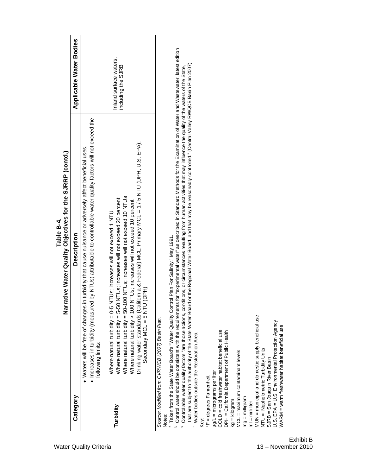|                                                                                                                                                                                                                                                           | Narrative Water Quality Objectives for the SJRRP (contd.)                                                                                                                                                                                                                                                                                                                                                                                                                                                                                                                                                                                                                                                                                                                                                                                                                                                                                                                                                       |                                              |
|-----------------------------------------------------------------------------------------------------------------------------------------------------------------------------------------------------------------------------------------------------------|-----------------------------------------------------------------------------------------------------------------------------------------------------------------------------------------------------------------------------------------------------------------------------------------------------------------------------------------------------------------------------------------------------------------------------------------------------------------------------------------------------------------------------------------------------------------------------------------------------------------------------------------------------------------------------------------------------------------------------------------------------------------------------------------------------------------------------------------------------------------------------------------------------------------------------------------------------------------------------------------------------------------|----------------------------------------------|
| Category                                                                                                                                                                                                                                                  | <b>Description</b>                                                                                                                                                                                                                                                                                                                                                                                                                                                                                                                                                                                                                                                                                                                                                                                                                                                                                                                                                                                              | Applicable Water Bodies                      |
|                                                                                                                                                                                                                                                           | · Increases in turbidity (measured by NTUs) attributable to controllable water quality factors will not exceed the<br>in turbidity that cause nuisance or adversely affect beneficial uses<br>• Waters will be free of changes<br>following limits:                                                                                                                                                                                                                                                                                                                                                                                                                                                                                                                                                                                                                                                                                                                                                             |                                              |
| Turbidity                                                                                                                                                                                                                                                 | Drinking water standards (California & Federal) MCL: Primary MCL = 1 / 5 NTU (DPH, U.S. EPA);<br>Where natural turbidity = 50-100 NTUs; increases will not exceed 10 NTUs<br>Where natural turbidity = 5-50 NTUs; increases will not exceed 20 percent<br>Where natural turbidity > 100 NTUs; increases will not exceed 10 percent<br>Where natural turbidity = 0-5 NTUs; increases will not exceed 1 NTU<br>I (DPH)<br>Secondary MCL = 5 NTU                                                                                                                                                                                                                                                                                                                                                                                                                                                                                                                                                                   | Inland surface waters,<br>including the SJRB |
| NTU = Nephelometric Turbidity Units<br>MCL = maximum contaminant levels<br>SJRB = San Joaquin River Basin<br>$\mu g/L =$ micrograms per liter<br><b>°F</b> = degrees Fahrenheit<br>$mg = milligram$<br>$kg = kilogram$<br>$ml$ = $mill$<br>Notes:<br>Key: | Control water should be consistent with the requirements for "experimental water" as described in Standard Methods for the Examination of Water and Wastewater, latest edition<br>that are subject to the authority of the State Water Board or the Regional Water Board, and that may be reasonably controlled." (Central Valley RWQCB Basin Plan 2007)<br>Controllable water quality factors "are those actions, conditions, or circumstances resulting from human activities that may influence the quality of the waters of the State.<br><sup>9</sup> Taken from the State Water Board's "Water Quality Control Plan For Salinity," May 1991.<br>MUN = municipal and domestic supply beneficial use<br>Source: Modified from CVRWCB (2007) Basin Plan.<br>U.S. EPA = U.S. Environmental Protection Agency<br>/VARM = warm freshwater habitat beneficial use<br>COLD = cold freshwater habitat beneficial use<br>DPH = California Department of Public Health<br>Water bodies outside the Restoration Area. |                                              |

**Table B-4.**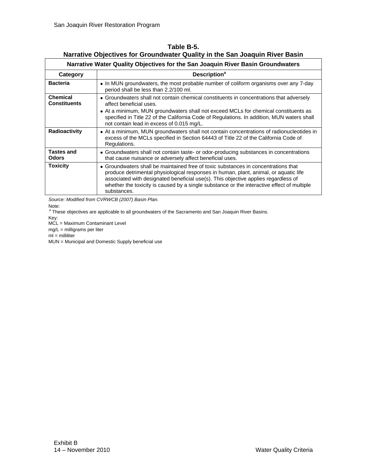| Narrative Water Quality Objectives for the San Joaquin River Basin Groundwaters |                                                                                                                                                                                                                                                                                                                                                                               |  |
|---------------------------------------------------------------------------------|-------------------------------------------------------------------------------------------------------------------------------------------------------------------------------------------------------------------------------------------------------------------------------------------------------------------------------------------------------------------------------|--|
| Category                                                                        | <b>Description<sup>a</sup></b>                                                                                                                                                                                                                                                                                                                                                |  |
| <b>Bacteria</b>                                                                 | • In MUN groundwaters, the most probable number of coliform organisms over any 7-day<br>period shall be less than 2.2/100 ml.                                                                                                                                                                                                                                                 |  |
| <b>Chemical</b><br><b>Constituents</b>                                          | • Groundwaters shall not contain chemical constituents in concentrations that adversely<br>affect beneficial uses.<br>• At a minimum, MUN groundwaters shall not exceed MCLs for chemical constituents as<br>specified in Title 22 of the California Code of Regulations. In addition, MUN waters shall<br>not contain lead in excess of 0.015 mg/L.                          |  |
| Radioactivity                                                                   | • At a minimum, MUN groundwaters shall not contain concentrations of radionucleotides in<br>excess of the MCLs specified in Section 64443 of Title 22 of the California Code of<br>Regulations.                                                                                                                                                                               |  |
| <b>Tastes and</b><br><b>Odors</b>                                               | • Groundwaters shall not contain taste- or odor-producing substances in concentrations<br>that cause nuisance or adversely affect beneficial uses.                                                                                                                                                                                                                            |  |
| <b>Toxicity</b>                                                                 | • Groundwaters shall be maintained free of toxic substances in concentrations that<br>produce detrimental physiological responses in human, plant, animal, or aquatic life<br>associated with designated beneficial use(s). This objective applies regardless of<br>whether the toxicity is caused by a single substance or the interactive effect of multiple<br>substances. |  |

<span id="page-17-0"></span>**Table B-5. Narrative Objectives for Groundwater Quality in the San Joaquin River Basin**

*Source: Modified from CVRWCB (2007) Basin Plan.*

Note:

<sup>a</sup> These objectives are applicable to all groundwaters of the Sacramento and San Joaquin River Basins.

Key:

MCL = Maximum Contaminant Level

mg/L = milligrams per liter

ml = milliliter

MUN = Municipal and Domestic Supply beneficial use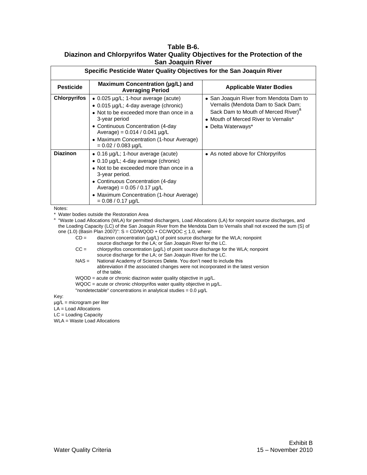#### <span id="page-18-0"></span>**Table B-6. Diazinon and Chlorpyrifos Water Quality Objectives for the Protection of the San Joaquin River**

| Specific Pesticide Water Quality Objectives for the San Joaquin River |                                                                                                                                                                                                                                                                                                         |                                                                                                                                                                                                |  |
|-----------------------------------------------------------------------|---------------------------------------------------------------------------------------------------------------------------------------------------------------------------------------------------------------------------------------------------------------------------------------------------------|------------------------------------------------------------------------------------------------------------------------------------------------------------------------------------------------|--|
| <b>Pesticide</b>                                                      | Maximum Concentration (µg/L) and<br><b>Averaging Period</b>                                                                                                                                                                                                                                             | <b>Applicable Water Bodies</b>                                                                                                                                                                 |  |
| <b>Chlorpyrifos</b>                                                   | $\bullet$ 0.025 µg/L; 1-hour average (acute)<br>$\bullet$ 0.015 µg/L; 4-day average (chronic)<br>• Not to be exceeded more than once in a<br>3-year period<br>• Continuous Concentration (4-day<br>Average) = $0.014 / 0.041$ µg/L<br>• Maximum Concentration (1-hour Average)<br>$= 0.02 / 0.083$ µg/L | • San Joaquin River from Mendota Dam to<br>Vernalis (Mendota Dam to Sack Dam;<br>Sack Dam to Mouth of Merced River) <sup>a</sup><br>• Mouth of Merced River to Vernalis*<br>• Delta Waterways* |  |
| <b>Diazinon</b>                                                       | • 0.16 $\mu$ g/L; 1-hour average (acute)<br>$\bullet$ 0.10 $\mu$ g/L; 4-day average (chronic)<br>• Not to be exceeded more than once in a<br>3-year period.<br>• Continuous Concentration (4-day<br>Average) = $0.05 / 0.17$ µg/L<br>• Maximum Concentration (1-hour Average)<br>$= 0.08 / 0.17$ µg/L   | • As noted above for Chlorpyrifos                                                                                                                                                              |  |

Notes:

\* Water bodies outside the Restoration Area

a "Waste Load Allocations (WLA) for permitted dischargers, Load Allocations (LA) for nonpoint source discharges, and the Loading Capacity (LC) of the San Joaquin River from the Mendota Dam to Vernalis shall not exceed the sum (S) of one (1.0) (Basin Plan 2007)":  $S = CD/WQOD + CC/WQOC \le 1.0$ , where:

 $CD =$  diazinon concentration ( $\mu$ g/L) of point source discharge for the WLA; nonpoint source discharge for the LA; or San Joaquin River for the LC.

- CC = chlorpyrifos concentration (µg/L) of point source discharge for the WLA; nonpoint source discharge for the LA; or San Joaquin River for the LC.
- NAS = National Academy of Sciences Delete. You don't need to include this abbreviation if the associated changes were not incorporated in the latest version of the table.

WQOD = acute or chronic diazinon water quality objective in µg/L.

WQOC = acute or chronic chlorpyrifos water quality objective in µg/L.

"nondetectable" concentrations in analytical studies = 0.0 µg/L

Key:

µg/L = microgram per liter

LA = Load Allocations

LC = Loading Capacity

WLA = Waste Load Allocations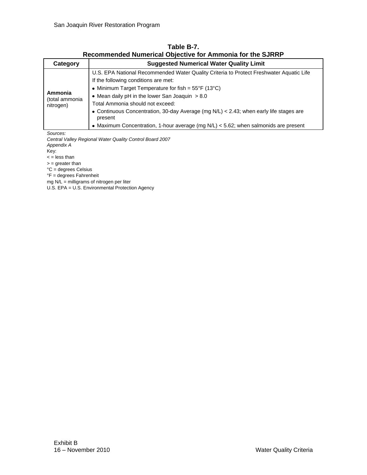<span id="page-19-0"></span>

| Category                               | <b>Suggested Numerical Water Quality Limit</b>                                                                                                                                                                                                                                                                                                                                                                                                                                              |  |
|----------------------------------------|---------------------------------------------------------------------------------------------------------------------------------------------------------------------------------------------------------------------------------------------------------------------------------------------------------------------------------------------------------------------------------------------------------------------------------------------------------------------------------------------|--|
| Ammonia<br>(total ammonia<br>nitrogen) | U.S. EPA National Recommended Water Quality Criteria to Protect Freshwater Aquatic Life<br>If the following conditions are met:<br>• Minimum Target Temperature for fish = $55^{\circ}F(13^{\circ}C)$<br>• Mean daily $pH$ in the lower San Joaquin $> 8.0$<br>Total Ammonia should not exceed:<br>• Continuous Concentration, 30-day Average (mg N/L) < 2.43; when early life stages are<br>present<br>• Maximum Concentration, 1-hour average (mg N/L) < 5.62; when salmonids are present |  |
| Sources.                               |                                                                                                                                                                                                                                                                                                                                                                                                                                                                                             |  |

**Table B-7. Recommended Numerical Objective for Ammonia for the SJRRP**

*Sources:*

*Central Valley Regional Water Quality Control Board 2007 Appendix A* Key:

 $<$  = less than

 $=$  greater than

°C = degrees Celsius

°F = degrees Fahrenheit

mg N/L = milligrams of nitrogen per liter

U.S. EPA = U.S. Environmental Protection Agency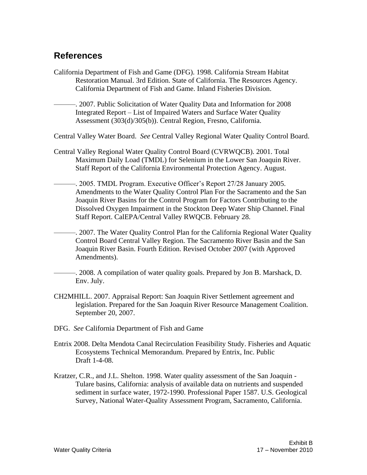#### <span id="page-20-0"></span>**References**

- California Department of Fish and Game (DFG). 1998. California Stream Habitat Restoration Manual. 3rd Edition. State of California. The Resources Agency. California Department of Fish and Game. Inland Fisheries Division.
	- ———. 2007. Public Solicitation of Water Quality Data and Information for 2008 Integrated Report – List of Impaired Waters and Surface Water Quality Assessment (303(d)/305(b)). Central Region, Fresno, California.
- Central Valley Water Board. *See* Central Valley Regional Water Quality Control Board.
- Central Valley Regional Water Quality Control Board (CVRWQCB). 2001. Total Maximum Daily Load (TMDL) for Selenium in the Lower San Joaquin River. Staff Report of the California Environmental Protection Agency. August.
	- ———. 2005. TMDL Program. Executive Officer's Report 27/28 January 2005. Amendments to the Water Quality Control Plan For the Sacramento and the San Joaquin River Basins for the Control Program for Factors Contributing to the Dissolved Oxygen Impairment in the Stockton Deep Water Ship Channel. Final Staff Report. CalEPA/Central Valley RWQCB. February 28.
	- ———. 2007. The Water Quality Control Plan for the California Regional Water Quality Control Board Central Valley Region. The Sacramento River Basin and the San Joaquin River Basin. Fourth Edition. Revised October 2007 (with Approved Amendments).
	- ———. 2008. A compilation of water quality goals. Prepared by Jon B. Marshack, D. Env. July.
- CH2MHILL. 2007. Appraisal Report: San Joaquin River Settlement agreement and legislation. Prepared for the San Joaquin River Resource Management Coalition. September 20, 2007.
- DFG. *See* California Department of Fish and Game
- Entrix 2008. Delta Mendota Canal Recirculation Feasibility Study. Fisheries and Aquatic Ecosystems Technical Memorandum. Prepared by Entrix, Inc. Public Draft 1-4-08.
- Kratzer, C.R., and J.L. Shelton. 1998. Water quality assessment of the San Joaquin Tulare basins, California: analysis of available data on nutrients and suspended sediment in surface water, 1972-1990. Professional Paper 1587. U.S. Geological Survey, National Water-Quality Assessment Program, Sacramento, California.